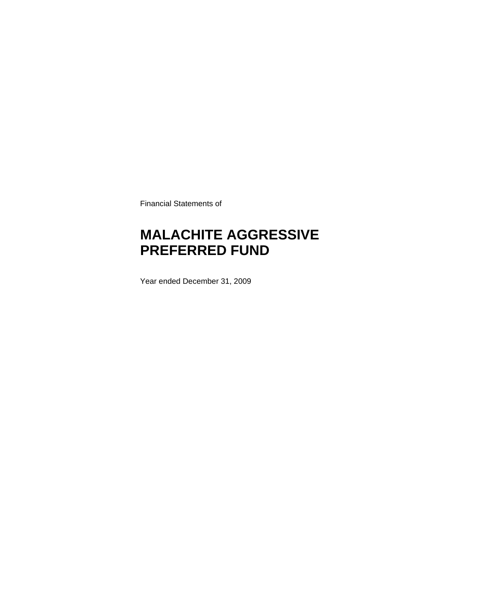Financial Statements of

### **MALACHITE AGGRESSIVE PREFERRED FUND**

Year ended December 31, 2009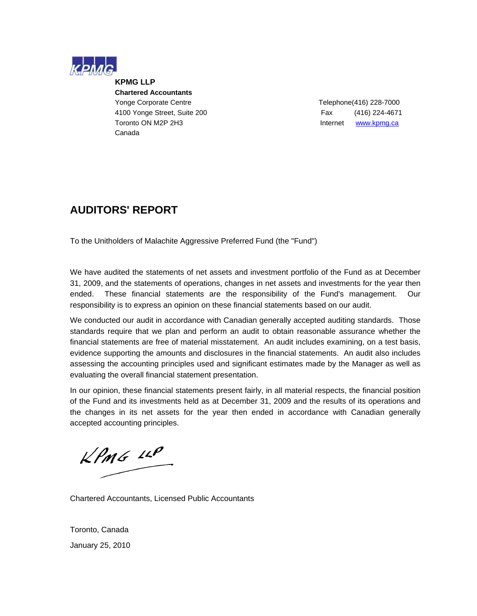

**KPMG LLP Chartered Accountants**  Yonge Corporate Centre Telephone(416) 228-7000 4100 Yonge Street, Suite 200 Fax (416) 224-4671 Toronto ON M2P 2H3 **Internet WWW.kpmg.ca** Canada

### **AUDITORS' REPORT**

To the Unitholders of Malachite Aggressive Preferred Fund (the "Fund")

We have audited the statements of net assets and investment portfolio of the Fund as at December 31, 2009, and the statements of operations, changes in net assets and investments for the year then ended. These financial statements are the responsibility of the Fund's management. Our responsibility is to express an opinion on these financial statements based on our audit.

We conducted our audit in accordance with Canadian generally accepted auditing standards. Those standards require that we plan and perform an audit to obtain reasonable assurance whether the financial statements are free of material misstatement. An audit includes examining, on a test basis, evidence supporting the amounts and disclosures in the financial statements. An audit also includes assessing the accounting principles used and significant estimates made by the Manager as well as evaluating the overall financial statement presentation.

In our opinion, these financial statements present fairly, in all material respects, the financial position of the Fund and its investments held as at December 31, 2009 and the results of its operations and the changes in its net assets for the year then ended in accordance with Canadian generally accepted accounting principles.

 $KPMG$  14P

Chartered Accountants, Licensed Public Accountants

Toronto, Canada January 25, 2010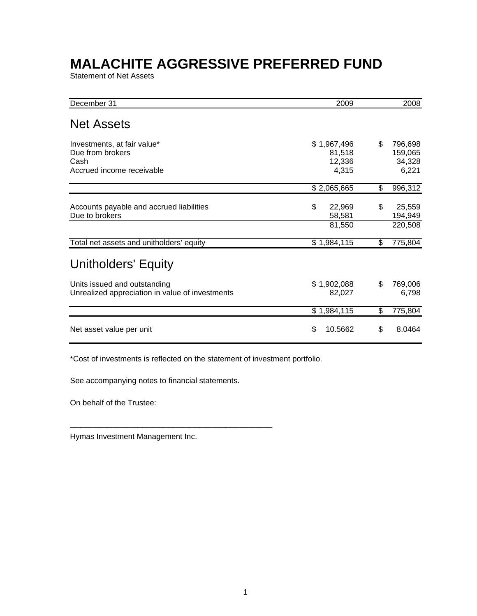Statement of Net Assets

| December 31                                                                          | 2009                                     | 2008                                        |
|--------------------------------------------------------------------------------------|------------------------------------------|---------------------------------------------|
| <b>Net Assets</b>                                                                    |                                          |                                             |
| Investments, at fair value*<br>Due from brokers<br>Cash<br>Accrued income receivable | \$1,967,496<br>81,518<br>12,336<br>4,315 | \$<br>796,698<br>159,065<br>34,328<br>6,221 |
|                                                                                      | \$2,065,665                              | \$<br>996,312                               |
| Accounts payable and accrued liabilities<br>Due to brokers                           | \$<br>22,969<br>58,581<br>81,550         | \$<br>25,559<br>194,949<br>220,508          |
| Total net assets and unitholders' equity                                             | \$1,984,115                              | \$<br>775,804                               |
| <b>Unitholders' Equity</b>                                                           |                                          |                                             |
| Units issued and outstanding<br>Unrealized appreciation in value of investments      | \$1,902,088<br>82,027                    | \$<br>769,006<br>6,798                      |
|                                                                                      | \$1,984,115                              | \$<br>775,804                               |
| Net asset value per unit                                                             | \$<br>10.5662                            | \$<br>8.0464                                |

\*Cost of investments is reflected on the statement of investment portfolio.

See accompanying notes to financial statements.

\_\_\_\_\_\_\_\_\_\_\_\_\_\_\_\_\_\_\_\_\_\_\_\_\_\_\_\_\_\_\_\_\_\_\_\_\_\_\_

On behalf of the Trustee:

Hymas Investment Management Inc.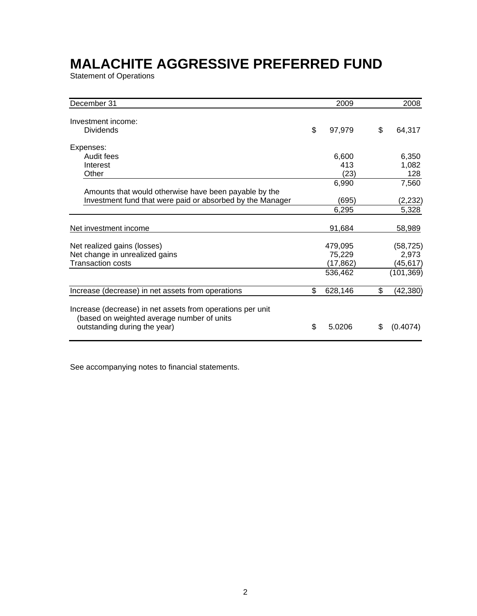Statement of Operations

| December 31                                                                                                                              | 2009          | 2008            |
|------------------------------------------------------------------------------------------------------------------------------------------|---------------|-----------------|
|                                                                                                                                          |               |                 |
| Investment income:                                                                                                                       |               |                 |
| <b>Dividends</b>                                                                                                                         | \$<br>97,979  | \$<br>64,317    |
| Expenses:                                                                                                                                |               |                 |
| Audit fees                                                                                                                               | 6,600         | 6,350           |
| Interest                                                                                                                                 | 413           | 1,082           |
| Other                                                                                                                                    | (23)          | 128             |
|                                                                                                                                          | 6,990         | 7,560           |
| Amounts that would otherwise have been payable by the                                                                                    |               |                 |
| Investment fund that were paid or absorbed by the Manager                                                                                | (695)         | (2, 232)        |
|                                                                                                                                          | 6,295         | 5,328           |
| Net investment income                                                                                                                    | 91,684        | 58,989          |
| Net realized gains (losses)                                                                                                              | 479,095       | (58, 725)       |
| Net change in unrealized gains                                                                                                           | 75,229        | 2,973           |
| <b>Transaction costs</b>                                                                                                                 | (17, 862)     | (45,617)        |
|                                                                                                                                          | 536,462       | (101, 369)      |
| Increase (decrease) in net assets from operations                                                                                        | \$<br>628,146 | \$<br>(42, 380) |
| Increase (decrease) in net assets from operations per unit<br>(based on weighted average number of units<br>outstanding during the year) | \$<br>5.0206  | \$<br>(0.4074)  |

See accompanying notes to financial statements.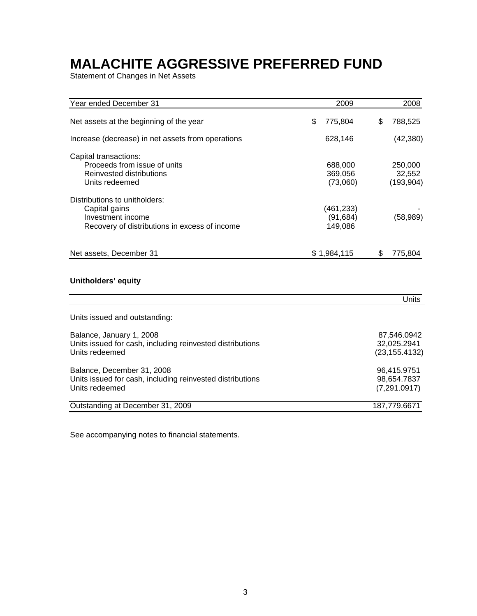Statement of Changes in Net Assets

| Year ended December 31                                    | 2009          | 2008           |
|-----------------------------------------------------------|---------------|----------------|
| Net assets at the beginning of the year                   | \$<br>775,804 | \$<br>788,525  |
| Increase (decrease) in net assets from operations         | 628,146       | (42, 380)      |
| Capital transactions:                                     |               |                |
| Proceeds from issue of units                              | 688,000       | 250,000        |
| Reinvested distributions                                  | 369,056       | 32,552         |
| Units redeemed                                            | (73,060)      | (193, 904)     |
| Distributions to unitholders:                             |               |                |
| Capital gains                                             | (461, 233)    |                |
| Investment income                                         | (91, 684)     | (58, 989)      |
| Recovery of distributions in excess of income             | 149,086       |                |
| Net assets, December 31                                   | \$1,984,115   | \$<br>775,804  |
|                                                           |               |                |
| Unitholders' equity                                       |               |                |
|                                                           |               | <b>Units</b>   |
| Units issued and outstanding:                             |               |                |
| Balance, January 1, 2008                                  |               | 87,546.0942    |
| Units issued for cash, including reinvested distributions |               | 32,025.2941    |
| Units redeemed                                            |               | (23, 155.4132) |
| Balance, December 31, 2008                                |               | 96,415.9751    |
| Units issued for cash, including reinvested distributions |               | 98,654.7837    |
| Units redeemed                                            |               | (7,291.0917)   |
| Outstanding at December 31, 2009                          |               | 187,779.6671   |

See accompanying notes to financial statements.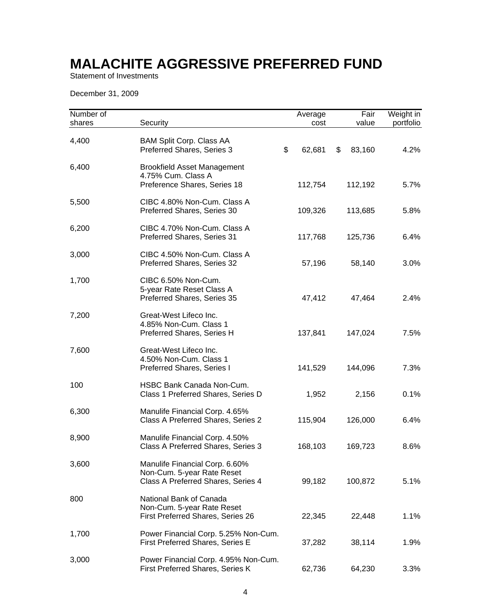Statement of Investments

December 31, 2009

| Number of<br>shares | Security                                                                                           | Average<br>cost | Fair<br>value | Weight in<br>portfolio |
|---------------------|----------------------------------------------------------------------------------------------------|-----------------|---------------|------------------------|
| 4,400               | <b>BAM Split Corp. Class AA</b><br>Preferred Shares, Series 3                                      | \$<br>62,681    | \$<br>83,160  | 4.2%                   |
| 6,400               | <b>Brookfield Asset Management</b><br>4.75% Cum. Class A<br>Preference Shares, Series 18           | 112,754         | 112,192       | 5.7%                   |
| 5,500               | CIBC 4.80% Non-Cum. Class A<br>Preferred Shares, Series 30                                         | 109,326         | 113,685       | 5.8%                   |
| 6,200               | CIBC 4.70% Non-Cum. Class A<br>Preferred Shares, Series 31                                         | 117,768         | 125,736       | 6.4%                   |
| 3,000               | CIBC 4.50% Non-Cum. Class A<br>Preferred Shares, Series 32                                         | 57,196          | 58,140        | 3.0%                   |
| 1,700               | CIBC 6.50% Non-Cum.<br>5-year Rate Reset Class A<br>Preferred Shares, Series 35                    | 47,412          | 47,464        | 2.4%                   |
| 7,200               | Great-West Lifeco Inc.<br>4.85% Non-Cum. Class 1<br>Preferred Shares, Series H                     | 137,841         | 147,024       | 7.5%                   |
| 7,600               | Great-West Lifeco Inc.<br>4.50% Non-Cum. Class 1<br>Preferred Shares, Series I                     | 141,529         | 144,096       | 7.3%                   |
| 100                 | HSBC Bank Canada Non-Cum.<br>Class 1 Preferred Shares, Series D                                    | 1,952           | 2,156         | 0.1%                   |
| 6,300               | Manulife Financial Corp. 4.65%<br>Class A Preferred Shares, Series 2                               | 115,904         | 126,000       | 6.4%                   |
| 8,900               | Manulife Financial Corp. 4.50%<br>Class A Preferred Shares, Series 3                               | 168,103         | 169,723       | 8.6%                   |
| 3,600               | Manulife Financial Corp. 6.60%<br>Non-Cum. 5-year Rate Reset<br>Class A Preferred Shares, Series 4 | 99,182          | 100,872       | 5.1%                   |
| 800                 | National Bank of Canada<br>Non-Cum. 5-year Rate Reset<br>First Preferred Shares, Series 26         | 22,345          | 22,448        | 1.1%                   |
| 1,700               | Power Financial Corp. 5.25% Non-Cum.<br>First Preferred Shares, Series E                           | 37,282          | 38,114        | 1.9%                   |
| 3,000               | Power Financial Corp. 4.95% Non-Cum.<br>First Preferred Shares, Series K                           | 62,736          | 64,230        | 3.3%                   |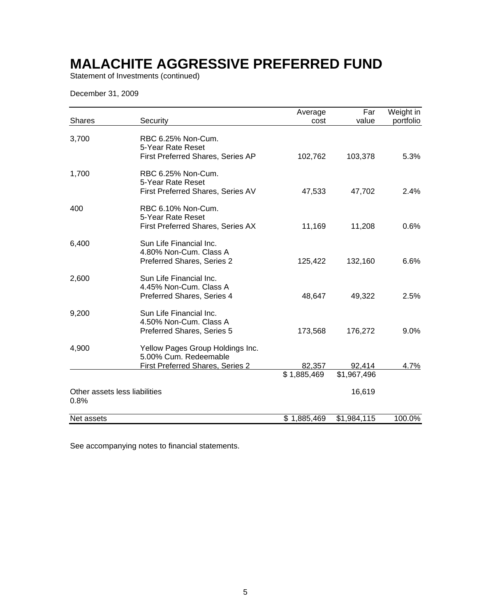Statement of Investments (continued)

December 31, 2009

|                                       |                                                                                                      | Average     | Far         | Weight in |
|---------------------------------------|------------------------------------------------------------------------------------------------------|-------------|-------------|-----------|
| <b>Shares</b>                         | Security                                                                                             | cost        | value       | portfolio |
| 3,700                                 | RBC 6.25% Non-Cum.<br>5-Year Rate Reset<br>First Preferred Shares, Series AP                         | 102,762     | 103,378     | 5.3%      |
| 1,700                                 | RBC 6.25% Non-Cum.<br>5-Year Rate Reset<br>First Preferred Shares, Series AV                         | 47,533      | 47,702      | 2.4%      |
| 400                                   | RBC 6.10% Non-Cum.<br>5-Year Rate Reset<br>First Preferred Shares, Series AX                         | 11,169      | 11,208      | 0.6%      |
| 6,400                                 | Sun Life Financial Inc.<br>4.80% Non-Cum. Class A<br>Preferred Shares, Series 2                      | 125,422     | 132,160     | 6.6%      |
| 2,600                                 | Sun Life Financial Inc.<br>4.45% Non-Cum. Class A<br>Preferred Shares, Series 4                      | 48,647      | 49,322      | 2.5%      |
| 9,200                                 | Sun Life Financial Inc.<br>4.50% Non-Cum. Class A<br>Preferred Shares, Series 5                      | 173,568     | 176,272     | 9.0%      |
| 4,900                                 | Yellow Pages Group Holdings Inc.<br>5.00% Cum. Redeemable<br><b>First Preferred Shares, Series 2</b> | 82,357      | 92,414      | 4.7%      |
|                                       |                                                                                                      | \$1,885,469 | \$1,967,496 |           |
| Other assets less liabilities<br>0.8% |                                                                                                      |             | 16,619      |           |
| Net assets                            |                                                                                                      | \$1,885,469 | \$1,984,115 | 100.0%    |

See accompanying notes to financial statements.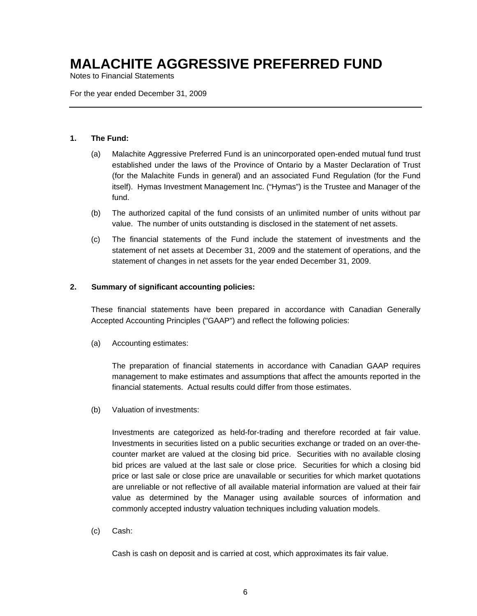Notes to Financial Statements

For the year ended December 31, 2009

#### **1. The Fund:**

- (a) Malachite Aggressive Preferred Fund is an unincorporated open-ended mutual fund trust established under the laws of the Province of Ontario by a Master Declaration of Trust (for the Malachite Funds in general) and an associated Fund Regulation (for the Fund itself). Hymas Investment Management Inc. ("Hymas") is the Trustee and Manager of the fund.
- (b) The authorized capital of the fund consists of an unlimited number of units without par value. The number of units outstanding is disclosed in the statement of net assets.
- (c) The financial statements of the Fund include the statement of investments and the statement of net assets at December 31, 2009 and the statement of operations, and the statement of changes in net assets for the year ended December 31, 2009.

### **2. Summary of significant accounting policies:**

These financial statements have been prepared in accordance with Canadian Generally Accepted Accounting Principles ("GAAP") and reflect the following policies:

(a) Accounting estimates:

The preparation of financial statements in accordance with Canadian GAAP requires management to make estimates and assumptions that affect the amounts reported in the financial statements. Actual results could differ from those estimates.

(b) Valuation of investments:

Investments are categorized as held-for-trading and therefore recorded at fair value. Investments in securities listed on a public securities exchange or traded on an over-thecounter market are valued at the closing bid price. Securities with no available closing bid prices are valued at the last sale or close price. Securities for which a closing bid price or last sale or close price are unavailable or securities for which market quotations are unreliable or not reflective of all available material information are valued at their fair value as determined by the Manager using available sources of information and commonly accepted industry valuation techniques including valuation models.

(c) Cash:

Cash is cash on deposit and is carried at cost, which approximates its fair value.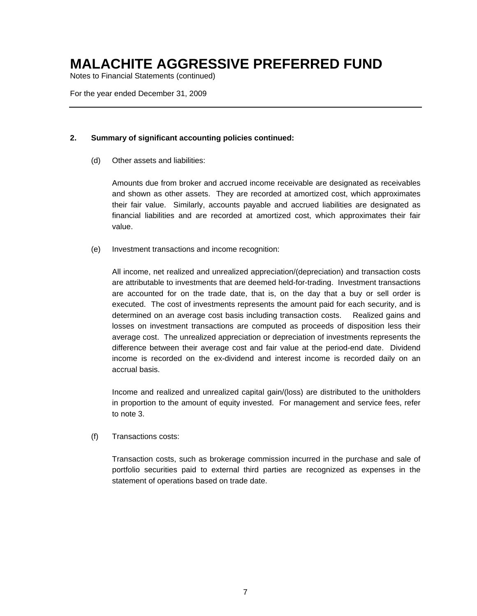Notes to Financial Statements (continued)

For the year ended December 31, 2009

### **2. Summary of significant accounting policies continued:**

(d) Other assets and liabilities:

Amounts due from broker and accrued income receivable are designated as receivables and shown as other assets. They are recorded at amortized cost, which approximates their fair value. Similarly, accounts payable and accrued liabilities are designated as financial liabilities and are recorded at amortized cost, which approximates their fair value.

(e) Investment transactions and income recognition:

All income, net realized and unrealized appreciation/(depreciation) and transaction costs are attributable to investments that are deemed held-for-trading. Investment transactions are accounted for on the trade date, that is, on the day that a buy or sell order is executed. The cost of investments represents the amount paid for each security, and is determined on an average cost basis including transaction costs. Realized gains and losses on investment transactions are computed as proceeds of disposition less their average cost. The unrealized appreciation or depreciation of investments represents the difference between their average cost and fair value at the period-end date. Dividend income is recorded on the ex-dividend and interest income is recorded daily on an accrual basis.

Income and realized and unrealized capital gain/(loss) are distributed to the unitholders in proportion to the amount of equity invested. For management and service fees, refer to note 3.

(f) Transactions costs:

Transaction costs, such as brokerage commission incurred in the purchase and sale of portfolio securities paid to external third parties are recognized as expenses in the statement of operations based on trade date.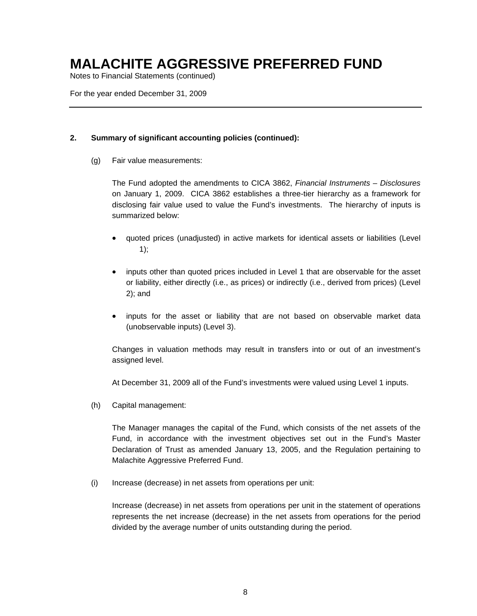Notes to Financial Statements (continued)

For the year ended December 31, 2009

### **2. Summary of significant accounting policies (continued):**

(g) Fair value measurements:

The Fund adopted the amendments to CICA 3862, *Financial Instruments – Disclosures*  on January 1, 2009. CICA 3862 establishes a three-tier hierarchy as a framework for disclosing fair value used to value the Fund's investments. The hierarchy of inputs is summarized below:

- quoted prices (unadjusted) in active markets for identical assets or liabilities (Level 1);
- inputs other than quoted prices included in Level 1 that are observable for the asset or liability, either directly (i.e., as prices) or indirectly (i.e., derived from prices) (Level 2); and
- inputs for the asset or liability that are not based on observable market data (unobservable inputs) (Level 3).

Changes in valuation methods may result in transfers into or out of an investment's assigned level.

At December 31, 2009 all of the Fund's investments were valued using Level 1 inputs.

(h) Capital management:

The Manager manages the capital of the Fund, which consists of the net assets of the Fund, in accordance with the investment objectives set out in the Fund's Master Declaration of Trust as amended January 13, 2005, and the Regulation pertaining to Malachite Aggressive Preferred Fund.

(i) Increase (decrease) in net assets from operations per unit:

Increase (decrease) in net assets from operations per unit in the statement of operations represents the net increase (decrease) in the net assets from operations for the period divided by the average number of units outstanding during the period.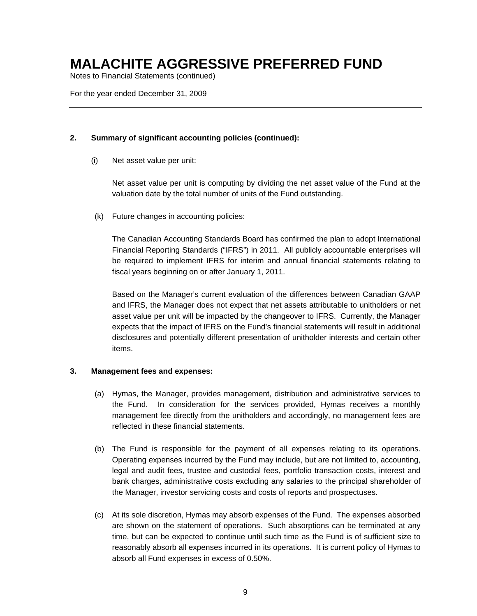Notes to Financial Statements (continued)

For the year ended December 31, 2009

### **2. Summary of significant accounting policies (continued):**

(i) Net asset value per unit:

Net asset value per unit is computing by dividing the net asset value of the Fund at the valuation date by the total number of units of the Fund outstanding.

(k) Future changes in accounting policies:

The Canadian Accounting Standards Board has confirmed the plan to adopt International Financial Reporting Standards ("IFRS") in 2011. All publicly accountable enterprises will be required to implement IFRS for interim and annual financial statements relating to fiscal years beginning on or after January 1, 2011.

Based on the Manager's current evaluation of the differences between Canadian GAAP and IFRS, the Manager does not expect that net assets attributable to unitholders or net asset value per unit will be impacted by the changeover to IFRS. Currently, the Manager expects that the impact of IFRS on the Fund's financial statements will result in additional disclosures and potentially different presentation of unitholder interests and certain other items.

### **3. Management fees and expenses:**

- (a) Hymas, the Manager, provides management, distribution and administrative services to the Fund. In consideration for the services provided, Hymas receives a monthly management fee directly from the unitholders and accordingly, no management fees are reflected in these financial statements.
- (b) The Fund is responsible for the payment of all expenses relating to its operations. Operating expenses incurred by the Fund may include, but are not limited to, accounting, legal and audit fees, trustee and custodial fees, portfolio transaction costs, interest and bank charges, administrative costs excluding any salaries to the principal shareholder of the Manager, investor servicing costs and costs of reports and prospectuses.
- (c) At its sole discretion, Hymas may absorb expenses of the Fund. The expenses absorbed are shown on the statement of operations. Such absorptions can be terminated at any time, but can be expected to continue until such time as the Fund is of sufficient size to reasonably absorb all expenses incurred in its operations. It is current policy of Hymas to absorb all Fund expenses in excess of 0.50%.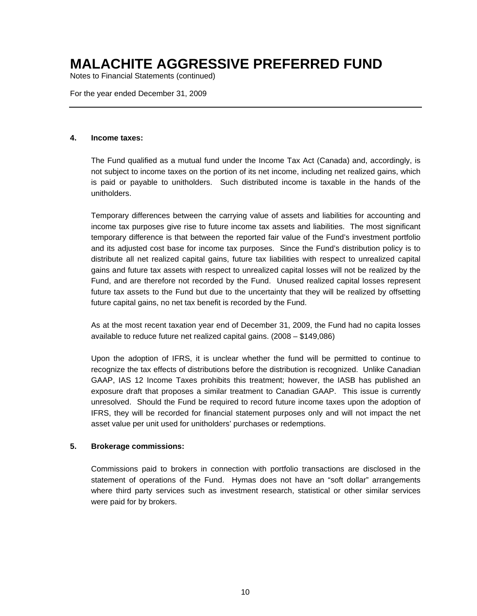Notes to Financial Statements (continued)

For the year ended December 31, 2009

#### **4. Income taxes:**

The Fund qualified as a mutual fund under the Income Tax Act (Canada) and, accordingly, is not subject to income taxes on the portion of its net income, including net realized gains, which is paid or payable to unitholders. Such distributed income is taxable in the hands of the unitholders.

Temporary differences between the carrying value of assets and liabilities for accounting and income tax purposes give rise to future income tax assets and liabilities. The most significant temporary difference is that between the reported fair value of the Fund's investment portfolio and its adjusted cost base for income tax purposes. Since the Fund's distribution policy is to distribute all net realized capital gains, future tax liabilities with respect to unrealized capital gains and future tax assets with respect to unrealized capital losses will not be realized by the Fund, and are therefore not recorded by the Fund. Unused realized capital losses represent future tax assets to the Fund but due to the uncertainty that they will be realized by offsetting future capital gains, no net tax benefit is recorded by the Fund.

As at the most recent taxation year end of December 31, 2009, the Fund had no capita losses available to reduce future net realized capital gains. (2008 – \$149,086)

Upon the adoption of IFRS, it is unclear whether the fund will be permitted to continue to recognize the tax effects of distributions before the distribution is recognized. Unlike Canadian GAAP, IAS 12 Income Taxes prohibits this treatment; however, the IASB has published an exposure draft that proposes a similar treatment to Canadian GAAP. This issue is currently unresolved. Should the Fund be required to record future income taxes upon the adoption of IFRS, they will be recorded for financial statement purposes only and will not impact the net asset value per unit used for unitholders' purchases or redemptions.

### **5. Brokerage commissions:**

Commissions paid to brokers in connection with portfolio transactions are disclosed in the statement of operations of the Fund. Hymas does not have an "soft dollar" arrangements where third party services such as investment research, statistical or other similar services were paid for by brokers.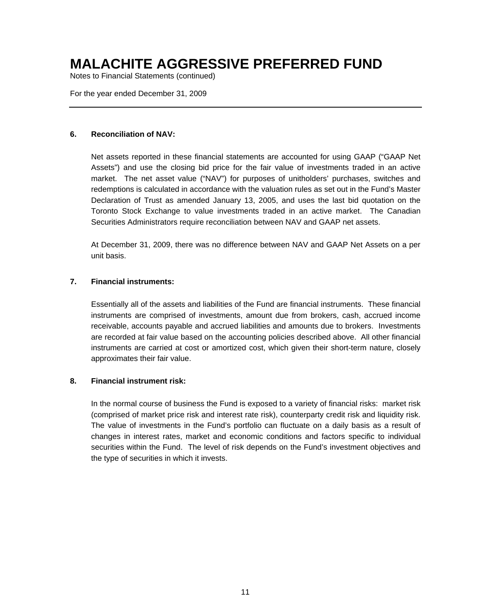Notes to Financial Statements (continued)

For the year ended December 31, 2009

#### **6. Reconciliation of NAV:**

Net assets reported in these financial statements are accounted for using GAAP ("GAAP Net Assets") and use the closing bid price for the fair value of investments traded in an active market. The net asset value ("NAV") for purposes of unitholders' purchases, switches and redemptions is calculated in accordance with the valuation rules as set out in the Fund's Master Declaration of Trust as amended January 13, 2005, and uses the last bid quotation on the Toronto Stock Exchange to value investments traded in an active market. The Canadian Securities Administrators require reconciliation between NAV and GAAP net assets.

At December 31, 2009, there was no difference between NAV and GAAP Net Assets on a per unit basis.

### **7. Financial instruments:**

Essentially all of the assets and liabilities of the Fund are financial instruments. These financial instruments are comprised of investments, amount due from brokers, cash, accrued income receivable, accounts payable and accrued liabilities and amounts due to brokers. Investments are recorded at fair value based on the accounting policies described above. All other financial instruments are carried at cost or amortized cost, which given their short-term nature, closely approximates their fair value.

#### **8. Financial instrument risk:**

In the normal course of business the Fund is exposed to a variety of financial risks: market risk (comprised of market price risk and interest rate risk), counterparty credit risk and liquidity risk. The value of investments in the Fund's portfolio can fluctuate on a daily basis as a result of changes in interest rates, market and economic conditions and factors specific to individual securities within the Fund. The level of risk depends on the Fund's investment objectives and the type of securities in which it invests.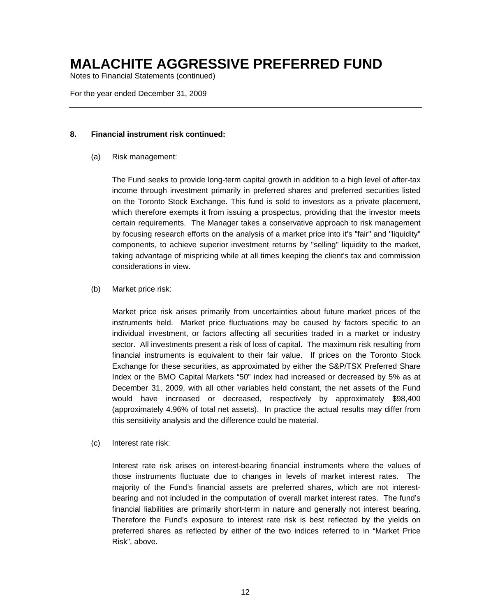Notes to Financial Statements (continued)

For the year ended December 31, 2009

### **8. Financial instrument risk continued:**

(a) Risk management:

The Fund seeks to provide long-term capital growth in addition to a high level of after-tax income through investment primarily in preferred shares and preferred securities listed on the Toronto Stock Exchange. This fund is sold to investors as a private placement, which therefore exempts it from issuing a prospectus, providing that the investor meets certain requirements. The Manager takes a conservative approach to risk management by focusing research efforts on the analysis of a market price into it's "fair" and "liquidity" components, to achieve superior investment returns by "selling" liquidity to the market, taking advantage of mispricing while at all times keeping the client's tax and commission considerations in view.

(b) Market price risk:

Market price risk arises primarily from uncertainties about future market prices of the instruments held. Market price fluctuations may be caused by factors specific to an individual investment, or factors affecting all securities traded in a market or industry sector. All investments present a risk of loss of capital. The maximum risk resulting from financial instruments is equivalent to their fair value. If prices on the Toronto Stock Exchange for these securities, as approximated by either the S&P/TSX Preferred Share Index or the BMO Capital Markets "50" index had increased or decreased by 5% as at December 31, 2009, with all other variables held constant, the net assets of the Fund would have increased or decreased, respectively by approximately \$98,400 (approximately 4.96% of total net assets). In practice the actual results may differ from this sensitivity analysis and the difference could be material.

(c) Interest rate risk:

Interest rate risk arises on interest-bearing financial instruments where the values of those instruments fluctuate due to changes in levels of market interest rates. The majority of the Fund's financial assets are preferred shares, which are not interestbearing and not included in the computation of overall market interest rates. The fund's financial liabilities are primarily short-term in nature and generally not interest bearing. Therefore the Fund's exposure to interest rate risk is best reflected by the yields on preferred shares as reflected by either of the two indices referred to in "Market Price Risk", above.